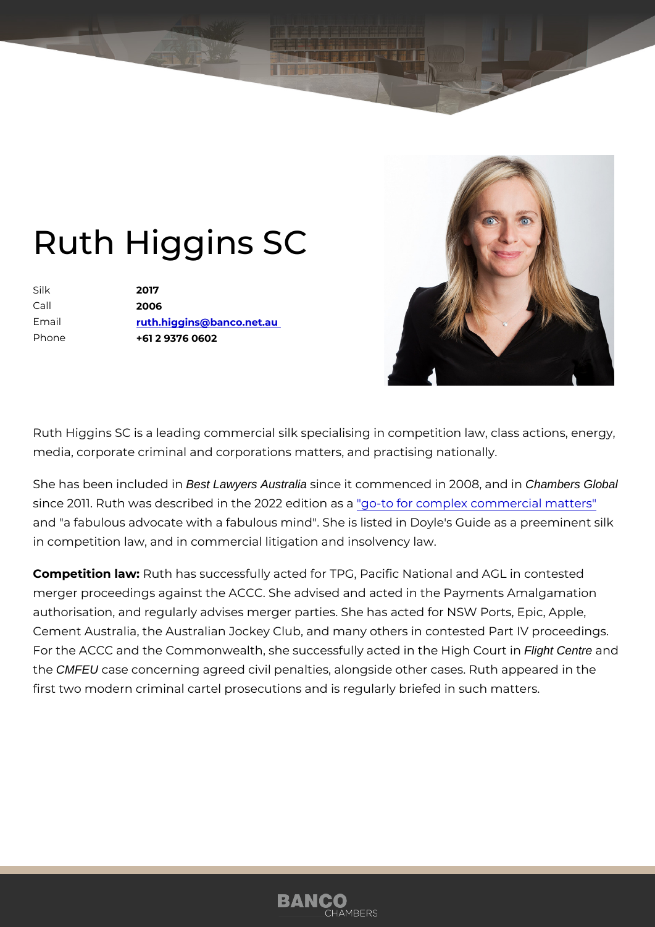## Ruth Higgins SC

Silk 2017 Call 2006 Email [ruth.higgins@banco.](mailto:ruth.higgins@banco.net.au)net.au Phone +61 2 9376 0602

Ruth Higgins SC is a leading commercial silk specialising in competition media, corporate criminal and corporations matters, and practising nation

She has been incl**Best Lawyers** Australia since it commenced in 20**08** and **Example Chambers Global** since 2011. Ruth was described in the 2022 edointicon mapsleax commercial matt and "a fabulous advocate with a fabulous mind". She is listed in Doyle's in competition law, and in commercial litigation and insolvency law.

Competition lawth has successfully acted for TPG, Pacific National and A merger proceedings against the ACCC. She advised and acted in the Payi authorisation, and regularly advises merger parties. She has acted for NS Cement Australia, the Australian Jockey Club, and many others in contes For the ACCC and the Commonwealth, she successfully achael Centre and igh the CMFEU case concerning agreed civil penalties, alongside other cases. R first two modern criminal cartel prosecutions and is regularly briefed in s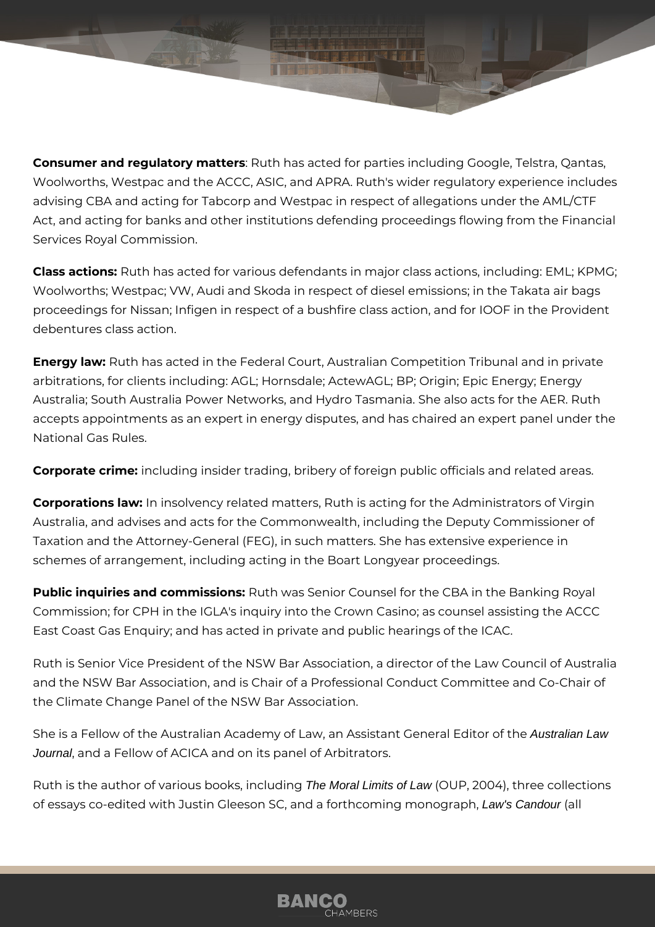**Consumer and regulatory matters**: Ruth has acted for parties including Google, Telstra, Qantas, Woolworths, Westpac and the ACCC, ASIC, and APRA. Ruth's wider regulatory experience includes advising CBA and acting for Tabcorp and Westpac in respect of allegations under the AML/CTF Act, and acting for banks and other institutions defending proceedings flowing from the Financial Services Royal Commission.

**Class actions:** Ruth has acted for various defendants in major class actions, including: EML; KPMG; Woolworths; Westpac; VW, Audi and Skoda in respect of diesel emissions; in the Takata air bags proceedings for Nissan; Infigen in respect of a bushfire class action, and for IOOF in the Provident debentures class action.

**Energy law:** Ruth has acted in the Federal Court, Australian Competition Tribunal and in private arbitrations, for clients including: AGL; Hornsdale; ActewAGL; BP; Origin; Epic Energy; Energy Australia; South Australia Power Networks, and Hydro Tasmania. She also acts for the AER. Ruth accepts appointments as an expert in energy disputes, and has chaired an expert panel under the National Gas Rules.

**Corporate crime:** including insider trading, bribery of foreign public officials and related areas.

**Corporations law:** In insolvency related matters, Ruth is acting for the Administrators of Virgin Australia, and advises and acts for the Commonwealth, including the Deputy Commissioner of Taxation and the Attorney-General (FEG), in such matters. She has extensive experience in schemes of arrangement, including acting in the Boart Longyear proceedings.

**Public inquiries and commissions:** Ruth was Senior Counsel for the CBA in the Banking Royal Commission; for CPH in the IGLA's inquiry into the Crown Casino; as counsel assisting the ACCC East Coast Gas Enquiry; and has acted in private and public hearings of the ICAC.

Ruth is Senior Vice President of the NSW Bar Association, a director of the Law Council of Australia and the NSW Bar Association, and is Chair of a Professional Conduct Committee and Co-Chair of the Climate Change Panel of the NSW Bar Association.

She is a Fellow of the Australian Academy of Law, an Assistant General Editor of the Australian Law Journal, and a Fellow of ACICA and on its panel of Arbitrators.

Ruth is the author of various books, including The Moral Limits of Law (OUP, 2004), three collections of essays co-edited with Justin Gleeson SC, and a forthcoming monograph, Law's Candour (all